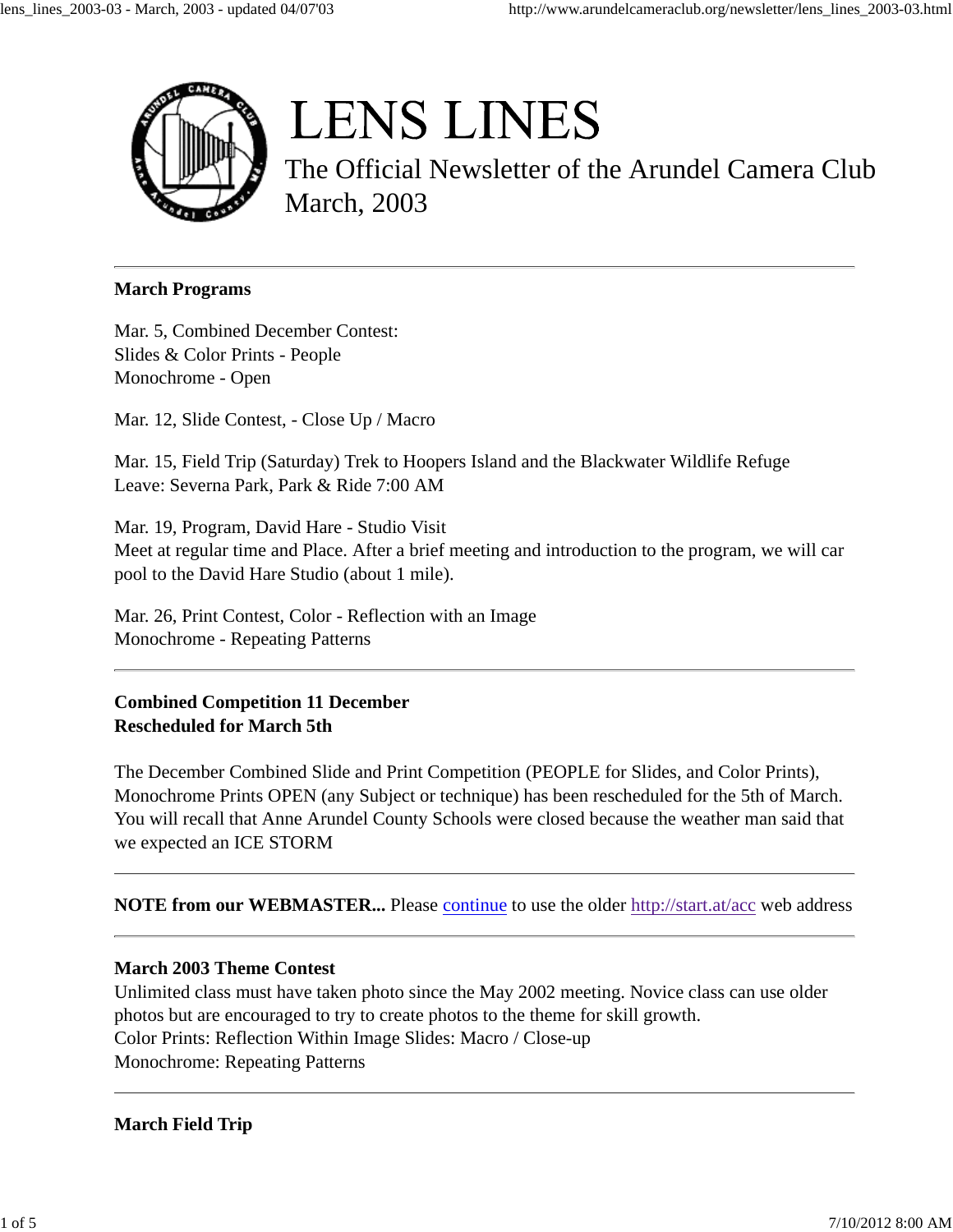

# **LENS LINES**

The Official Newsletter of the Arundel Camera Club March, 2003

#### **March Programs**

Mar. 5, Combined December Contest: Slides & Color Prints - People Monochrome - Open

Mar. 12, Slide Contest, - Close Up / Macro

Mar. 15, Field Trip (Saturday) Trek to Hoopers Island and the Blackwater Wildlife Refuge Leave: Severna Park, Park & Ride 7:00 AM

Mar. 19, Program, David Hare - Studio Visit Meet at regular time and Place. After a brief meeting and introduction to the program, we will car pool to the David Hare Studio (about 1 mile).

Mar. 26, Print Contest, Color - Reflection with an Image Monochrome - Repeating Patterns

**Combined Competition 11 December Rescheduled for March 5th**

The December Combined Slide and Print Competition (PEOPLE for Slides, and Color Prints), Monochrome Prints OPEN (any Subject or technique) has been rescheduled for the 5th of March. You will recall that Anne Arundel County Schools were closed because the weather man said that we expected an ICE STORM

**NOTE from our WEBMASTER...** Please continue to use the older http://start.at/acc web address

# **March 2003 Theme Contest**

Unlimited class must have taken photo since the May 2002 meeting. Novice class can use older photos but are encouraged to try to create photos to the theme for skill growth. Color Prints: Reflection Within Image Slides: Macro / Close-up Monochrome: Repeating Patterns

# **March Field Trip**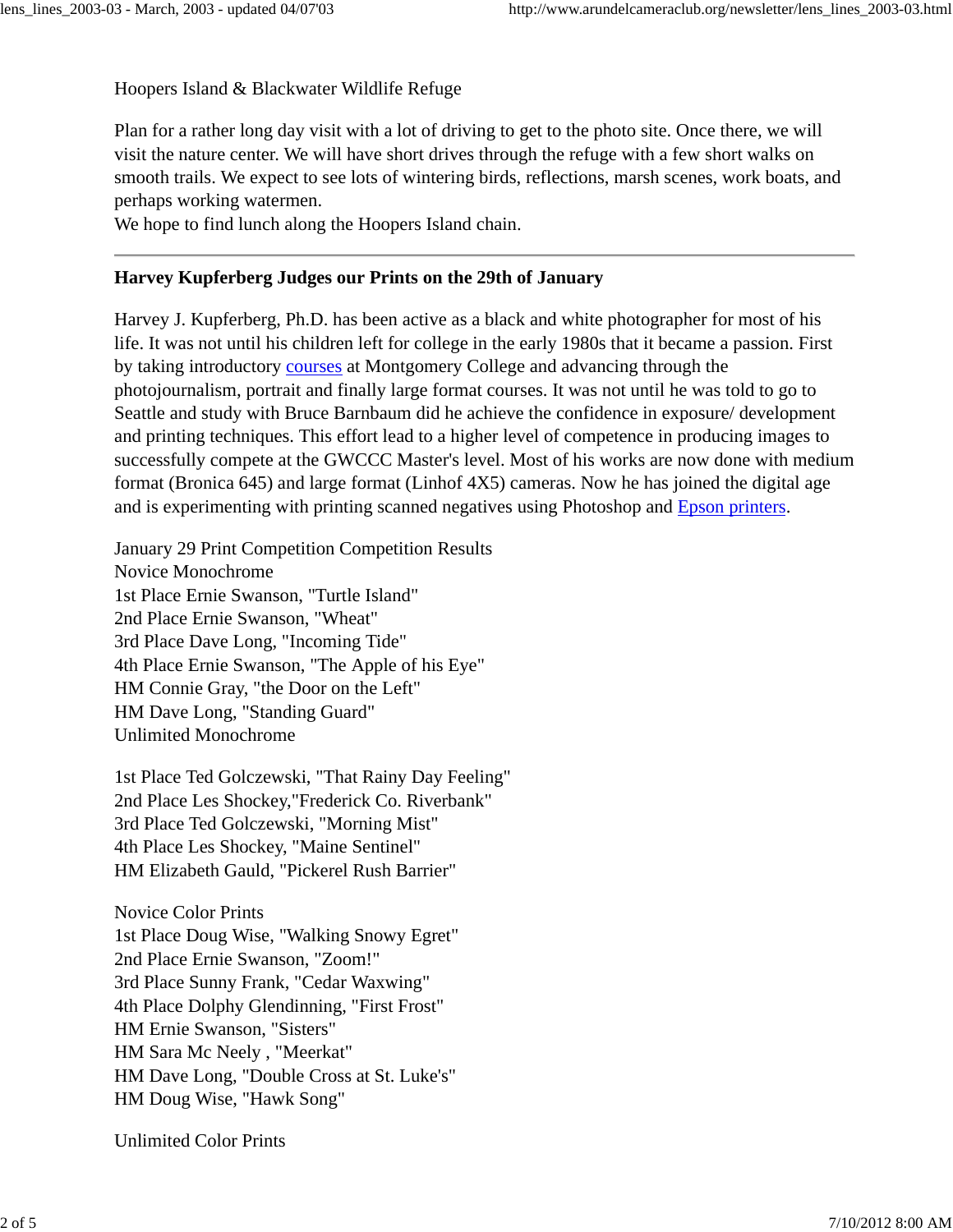Hoopers Island & Blackwater Wildlife Refuge

Plan for a rather long day visit with a lot of driving to get to the photo site. Once there, we will visit the nature center. We will have short drives through the refuge with a few short walks on smooth trails. We expect to see lots of wintering birds, reflections, marsh scenes, work boats, and perhaps working watermen.

We hope to find lunch along the Hoopers Island chain.

## **Harvey Kupferberg Judges our Prints on the 29th of January**

Harvey J. Kupferberg, Ph.D. has been active as a black and white photographer for most of his life. It was not until his children left for college in the early 1980s that it became a passion. First by taking introductory courses at Montgomery College and advancing through the photojournalism, portrait and finally large format courses. It was not until he was told to go to Seattle and study with Bruce Barnbaum did he achieve the confidence in exposure/ development and printing techniques. This effort lead to a higher level of competence in producing images to successfully compete at the GWCCC Master's level. Most of his works are now done with medium format (Bronica 645) and large format (Linhof 4X5) cameras. Now he has joined the digital age and is experimenting with printing scanned negatives using Photoshop and Epson printers.

January 29 Print Competition Competition Results Novice Monochrome 1st Place Ernie Swanson, "Turtle Island" 2nd Place Ernie Swanson, "Wheat" 3rd Place Dave Long, "Incoming Tide" 4th Place Ernie Swanson, "The Apple of his Eye" HM Connie Gray, "the Door on the Left" HM Dave Long, "Standing Guard" Unlimited Monochrome

1st Place Ted Golczewski, "That Rainy Day Feeling" 2nd Place Les Shockey,"Frederick Co. Riverbank" 3rd Place Ted Golczewski, "Morning Mist" 4th Place Les Shockey, "Maine Sentinel" HM Elizabeth Gauld, "Pickerel Rush Barrier"

Novice Color Prints 1st Place Doug Wise, "Walking Snowy Egret" 2nd Place Ernie Swanson, "Zoom!" 3rd Place Sunny Frank, "Cedar Waxwing" 4th Place Dolphy Glendinning, "First Frost" HM Ernie Swanson, "Sisters" HM Sara Mc Neely , "Meerkat" HM Dave Long, "Double Cross at St. Luke's" HM Doug Wise, "Hawk Song"

Unlimited Color Prints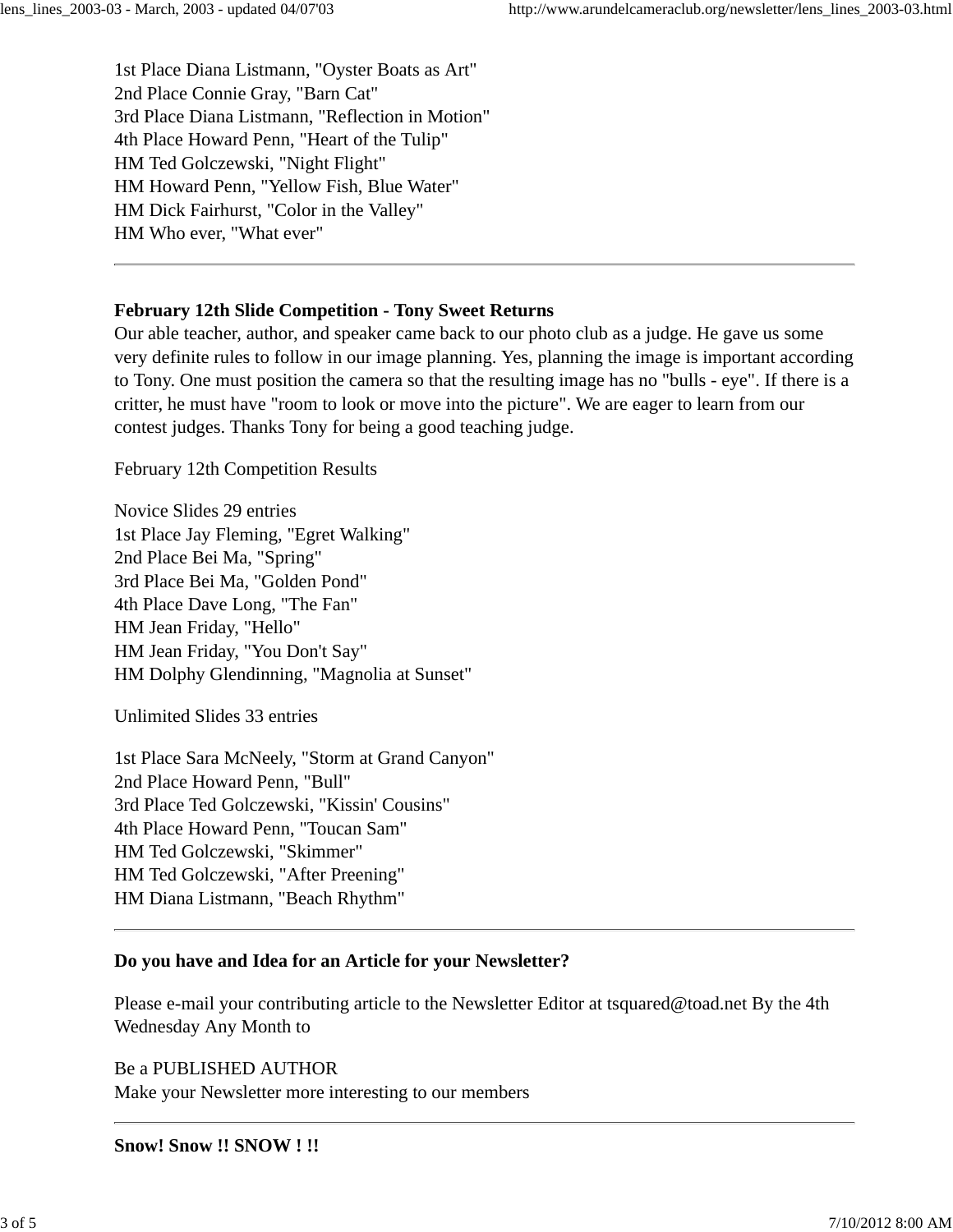1st Place Diana Listmann, "Oyster Boats as Art" 2nd Place Connie Gray, "Barn Cat" 3rd Place Diana Listmann, "Reflection in Motion" 4th Place Howard Penn, "Heart of the Tulip" HM Ted Golczewski, "Night Flight" HM Howard Penn, "Yellow Fish, Blue Water" HM Dick Fairhurst, "Color in the Valley" HM Who ever, "What ever"

### **February 12th Slide Competition - Tony Sweet Returns**

Our able teacher, author, and speaker came back to our photo club as a judge. He gave us some very definite rules to follow in our image planning. Yes, planning the image is important according to Tony. One must position the camera so that the resulting image has no "bulls - eye". If there is a critter, he must have "room to look or move into the picture". We are eager to learn from our contest judges. Thanks Tony for being a good teaching judge.

February 12th Competition Results

Novice Slides 29 entries 1st Place Jay Fleming, "Egret Walking" 2nd Place Bei Ma, "Spring" 3rd Place Bei Ma, "Golden Pond" 4th Place Dave Long, "The Fan" HM Jean Friday, "Hello" HM Jean Friday, "You Don't Say" HM Dolphy Glendinning, "Magnolia at Sunset"

Unlimited Slides 33 entries

1st Place Sara McNeely, "Storm at Grand Canyon" 2nd Place Howard Penn, "Bull" 3rd Place Ted Golczewski, "Kissin' Cousins" 4th Place Howard Penn, "Toucan Sam" HM Ted Golczewski, "Skimmer" HM Ted Golczewski, "After Preening" HM Diana Listmann, "Beach Rhythm"

# **Do you have and Idea for an Article for your Newsletter?**

Please e-mail your contributing article to the Newsletter Editor at tsquared@toad.net By the 4th Wednesday Any Month to

Be a PUBLISHED AUTHOR Make your Newsletter more interesting to our members

#### **Snow! Snow !! SNOW ! !!**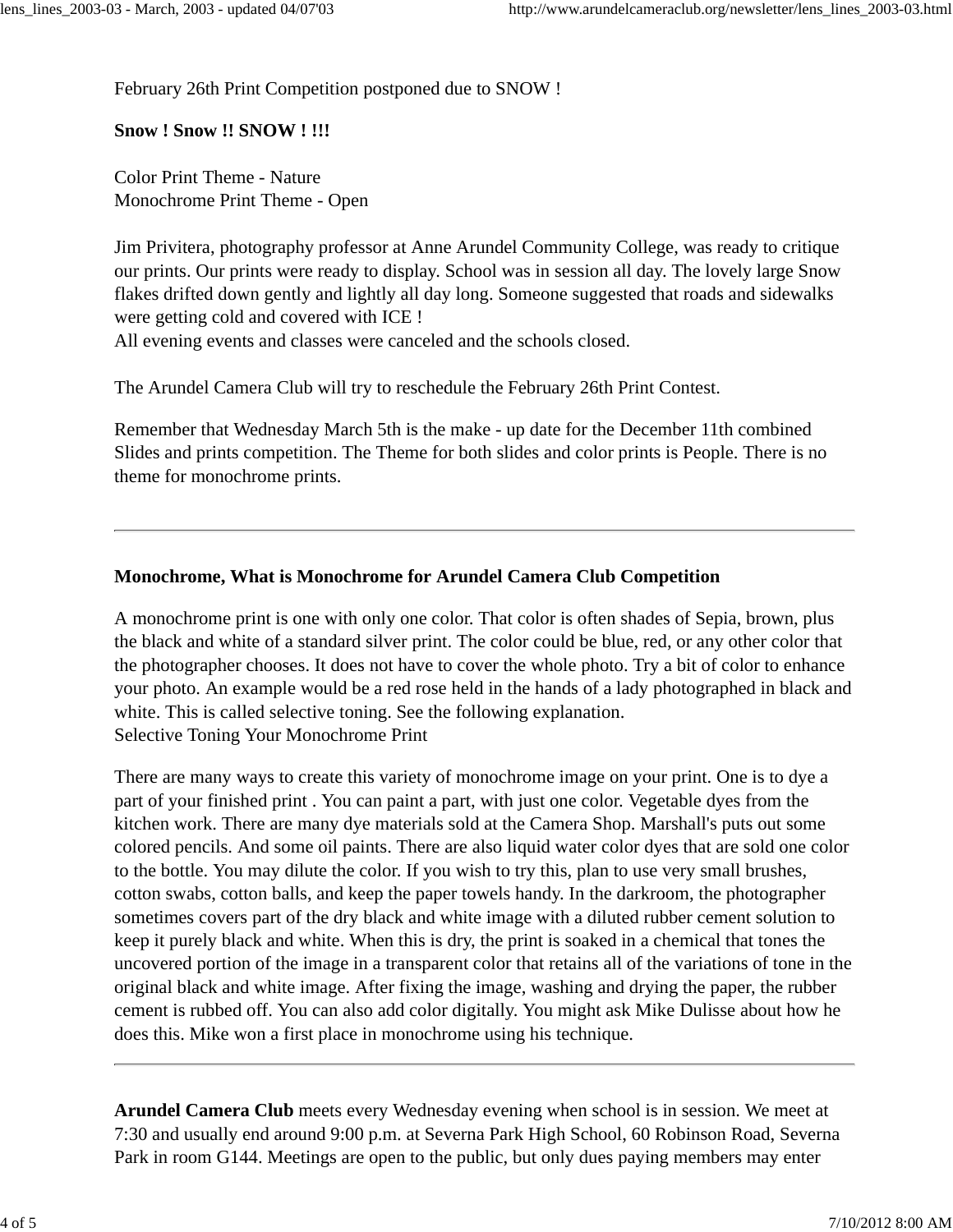February 26th Print Competition postponed due to SNOW !

**Snow ! Snow !! SNOW ! !!!**

Color Print Theme - Nature Monochrome Print Theme - Open

Jim Privitera, photography professor at Anne Arundel Community College, was ready to critique our prints. Our prints were ready to display. School was in session all day. The lovely large Snow flakes drifted down gently and lightly all day long. Someone suggested that roads and sidewalks were getting cold and covered with ICE !

All evening events and classes were canceled and the schools closed.

The Arundel Camera Club will try to reschedule the February 26th Print Contest.

Remember that Wednesday March 5th is the make - up date for the December 11th combined Slides and prints competition. The Theme for both slides and color prints is People. There is no theme for monochrome prints.

### **Monochrome, What is Monochrome for Arundel Camera Club Competition**

A monochrome print is one with only one color. That color is often shades of Sepia, brown, plus the black and white of a standard silver print. The color could be blue, red, or any other color that the photographer chooses. It does not have to cover the whole photo. Try a bit of color to enhance your photo. An example would be a red rose held in the hands of a lady photographed in black and white. This is called selective toning. See the following explanation. Selective Toning Your Monochrome Print

There are many ways to create this variety of monochrome image on your print. One is to dye a part of your finished print . You can paint a part, with just one color. Vegetable dyes from the kitchen work. There are many dye materials sold at the Camera Shop. Marshall's puts out some colored pencils. And some oil paints. There are also liquid water color dyes that are sold one color to the bottle. You may dilute the color. If you wish to try this, plan to use very small brushes, cotton swabs, cotton balls, and keep the paper towels handy. In the darkroom, the photographer sometimes covers part of the dry black and white image with a diluted rubber cement solution to keep it purely black and white. When this is dry, the print is soaked in a chemical that tones the uncovered portion of the image in a transparent color that retains all of the variations of tone in the original black and white image. After fixing the image, washing and drying the paper, the rubber cement is rubbed off. You can also add color digitally. You might ask Mike Dulisse about how he does this. Mike won a first place in monochrome using his technique.

**Arundel Camera Club** meets every Wednesday evening when school is in session. We meet at 7:30 and usually end around 9:00 p.m. at Severna Park High School, 60 Robinson Road, Severna Park in room G144. Meetings are open to the public, but only dues paying members may enter